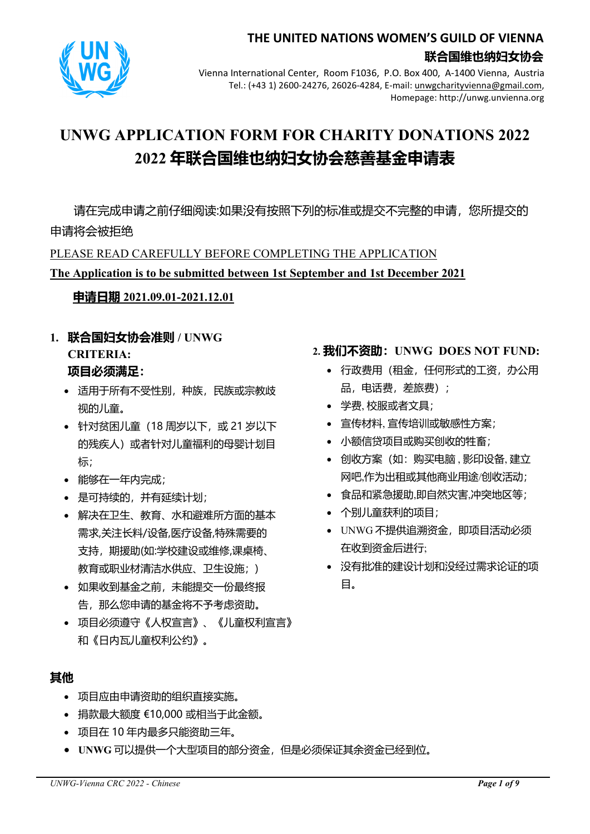

## **THE UNITED NATIONS WOMEN'S GUILD OF VIENNA 联合国维也纳妇女协会**

Vienna International Center, Room F1036, P.O. Box 400, A-1400 Vienna, Austria Tel.: (+43 1) 2600-24276, 26026-4284, E-mail: unwgcharityvienna@gmail.com, Homepage: http://unwg.unvienna.org

# **UNWG APPLICATION FORM FOR CHARITY DONATIONS 2022 2022 年联合国维也纳妇女协会慈善基金申请表**

请在完成申请之前仔细阅读:如果没有按照下列的标准或提交不完整的申请,您所提交的 申请将会被拒绝

PLEASE READ CAREFULLY BEFORE COMPLETING THE APPLICATION

## **The Application is to be submitted between 1st September and 1st December 2021**

## **申请日期 2021.09.01-2021.12.01**

- **1. 联合国妇女协会准则 / UNWG CRITERIA: 项目必须满足:**
	- 适用于所有不受性别,种族,民族或宗教歧 视的儿童。
	- 针对贫困儿童(18 周岁以下, 或 21 岁以下 的残疾人)或者针对儿童福利的母婴计划目 标;
	- 能够在一年内完成;
	- 是可持续的,并有延续计划;
	- 解决在卫生、教育、水和避难所方面的基本 需求,关注长料/设备,医疗设备,特殊需要的 支持, 期援助(如:学校建设或维修,课桌椅、 教育或职业材清洁水供应、卫生设施;)
	- 如果收到基金之前,未能提交一份最终报 告, 那么您申请的基金将不予考虑资助。
	- 项目必须遵守《人权宣言》、《儿童权利宣言》 和《日内瓦儿童权利公约》。

## **其他**

- 项目应由申请资助的组织直接实施。
- 捐款最大额度 €10,000 或相当于此金额。
- 项目在 10 年内最多只能资助三年。
- **UNWG** 可以提供一个大型项目的部分资金,但是必须保证其余资金已经到位。

## **2. 我们不资助:UNWG DOES NOT FUND:**

- 行政费用(租金,任何形式的工资,办公用 品,电话费,差旅费);
- 学费, 校服或者文具;
- 宣传材料, 宣传培训或敏感性方案;
- 小额信贷项目或购买创收的牲畜;
- 创收方案(如:购买电脑,影印设备,建立 网吧,作为出租或其他商业用途/创收活动;
- 食品和紧急援助,即自然灾害,冲突地区等;
- 个别儿童获利的项目;
- UNWG 不提供追溯资金,即项目活动必须 在收到资金后进行;
- 没有批准的建设计划和没经过需求论证的项 目。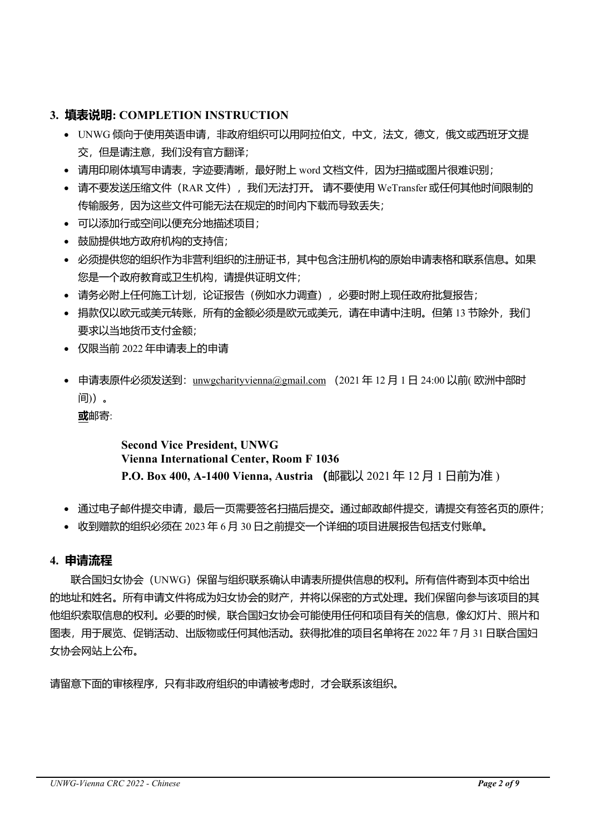### **3. 填表说明: COMPLETION INSTRUCTION**

- UNWG 倾向于使用英语申请, 非政府组织可以用阿拉伯文, 中文, 法文, 德文, 俄文或西班牙文提 交,但是请注意,我们没有官方翻译;
- 请用印刷体填写申请表,字迹要清晰,最好附上 word 文档文件,因为扫描或图片很难识别;
- 请不要发送压缩文件(RAR 文件), 我们无法打开。 请不要使用 WeTransfer 或任何其他时间限制的 传输服务,因为这些文件可能无法在规定的时间内下载而导致丢失;
- 可以添加行或空间以便充分地描述项目;
- 鼓励提供地方政府机构的支持信;
- 必须提供您的组织作为非营利组织的注册证书,其中包含注册机构的原始申请表格和联系信息。如果 您是一个政府教育或卫生机构,请提供证明文件;
- 请务必附上任何施工计划,论证报告(例如水力调查),必要时附上现任政府批复报告;
- 捐款仅以欧元或美元转账,所有的金额必须是欧元或美元,请在申请中注明。但第 13 节除外,我们 要求以当地货币支付金额;
- 仅限当前 2022 年申请表上的申请
- 申请表原件必须发送到: unwgcharityvienna@gmail.com (2021年12月1日 24:00 以前(欧洲中部时 间))。

**或**邮寄:

## **Second Vice President, UNWG Vienna International Center, Room F 1036 P.O. Box 400, A-1400 Vienna, Austria (**邮戳以 2021 年 12 月 1 日前为准 )

- 通过电子邮件提交申请,最后一页需要签名扫描后提交。通过邮政邮件提交,请提交有签名页的原件;
- 收到赠款的组织必须在 2023 年 6 月 30 日之前提交一个详细的项目进展报告包括支付账单。

#### **4. 申请流程**

联合国妇女协会(UNWG)保留与组织联系确认申请表所提供信息的权利。所有信件寄到本页中给出 的地址和姓名。所有申请文件将成为妇女协会的财产,并将以保密的方式处理。我们保留向参与该项目的其 他组织索取信息的权利。必要的时候,联合国妇女协会可能使用任何和项目有关的信息,像幻灯片、照片和 图表,用于展览、促销活动、出版物或任何其他活动。获得批准的项目名单将在 2022 年 7 月 31 日联合国妇 女协会网站上公布。

请留意下面的审核程序,只有非政府组织的申请被考虑时,才会联系该组织。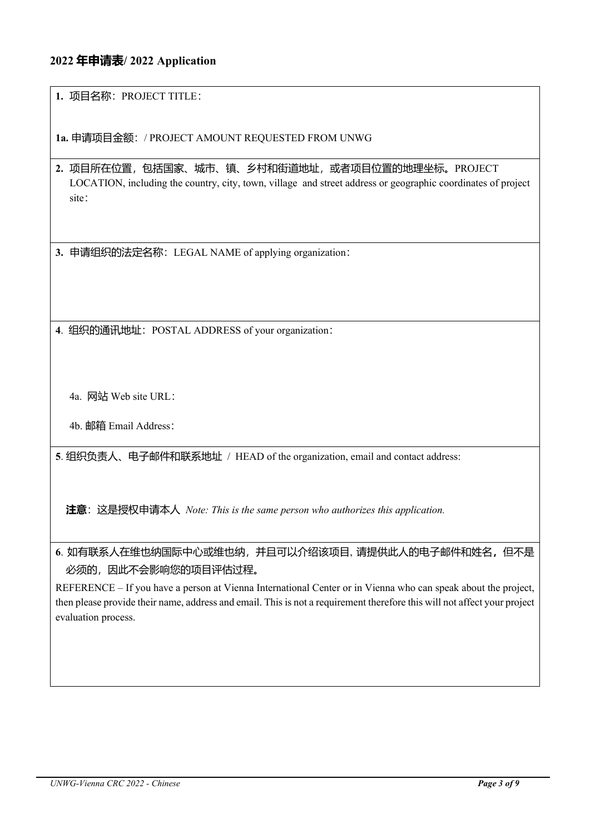#### **2022 年申请表/ 2022 Application**

**1.** 项目名称:PROJECT TITLE:

**1a.** 申请项目金额:/ PROJECT AMOUNT REQUESTED FROM UNWG

**2.** 项目所在位置,包括国家、城市、镇、乡村和街道地址,或者项目位置的地理坐标。PROJECT LOCATION, including the country, city, town, village and street address or geographic coordinates of project site:

**3.** 申请组织的法定名称:LEGAL NAME of applying organization:

**4**. 组织的通讯地址:POSTAL ADDRESS of your organization:

4a. 网站 Web site URL:

4b. 邮箱 Email Address:

**5**. 组织负责人、电子邮件和联系地址 / HEAD of the organization, email and contact address:

**注意**:这是授权申请本人 *Note: This is the same person who authorizes this application.* 

**6**. 如有联系人在维也纳国际中心或维也纳,并且可以介绍该项目, 请提供此人的电子邮件和姓名**,**但不是 必须的,因此不会影响您的项目评估过程。

REFERENCE – If you have a person at Vienna International Center or in Vienna who can speak about the project, then please provide their name, address and email. This is not a requirement therefore this will not affect your project evaluation process.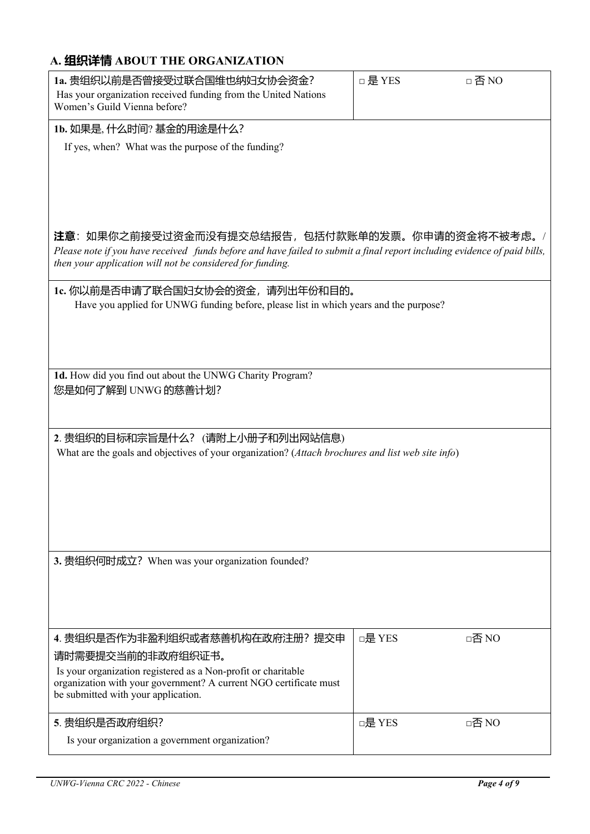## **A. 组织详情 ABOUT THE ORGANIZATION**

| 1a.贵组织以前是否曾接受过联合国维也纳妇女协会资金?                                                                                              | □ 是 YES | □否NO  |
|--------------------------------------------------------------------------------------------------------------------------|---------|-------|
| Has your organization received funding from the United Nations                                                           |         |       |
| Women's Guild Vienna before?                                                                                             |         |       |
| 1b. 如果是, 什么时间? 基金的用途是什么?                                                                                                 |         |       |
| If yes, when? What was the purpose of the funding?                                                                       |         |       |
|                                                                                                                          |         |       |
|                                                                                                                          |         |       |
|                                                                                                                          |         |       |
|                                                                                                                          |         |       |
|                                                                                                                          |         |       |
| <b>注意</b> :如果你之前接受过资金而没有提交总结报告,包括付款账单的发票。你申请的资金将不被考虑。/                                                                   |         |       |
| Please note if you have received funds before and have failed to submit a final report including evidence of paid bills, |         |       |
| then your application will not be considered for funding.                                                                |         |       |
| 1c.你以前是否申请了联合国妇女协会的资金,请列出年份和目的。                                                                                          |         |       |
| Have you applied for UNWG funding before, please list in which years and the purpose?                                    |         |       |
|                                                                                                                          |         |       |
|                                                                                                                          |         |       |
|                                                                                                                          |         |       |
|                                                                                                                          |         |       |
| 1d. How did you find out about the UNWG Charity Program?                                                                 |         |       |
| 您是如何了解到 UNWG 的慈善计划?                                                                                                      |         |       |
|                                                                                                                          |         |       |
|                                                                                                                          |         |       |
| 2. 贵组织的目标和宗旨是什么? (请附上小册子和列出网站信息)                                                                                         |         |       |
| What are the goals and objectives of your organization? (Attach brochures and list web site info)                        |         |       |
|                                                                                                                          |         |       |
|                                                                                                                          |         |       |
|                                                                                                                          |         |       |
|                                                                                                                          |         |       |
|                                                                                                                          |         |       |
| 3. 贵组织何时成立? When was your organization founded?                                                                          |         |       |
|                                                                                                                          |         |       |
|                                                                                                                          |         |       |
|                                                                                                                          |         |       |
|                                                                                                                          |         |       |
| 4. 贵组织是否作为非盈利组织或者慈善机构在政府注册? 提交申                                                                                          | □是 YES  | □否 NO |
| 请时需要提交当前的非政府组织证书。                                                                                                        |         |       |
| Is your organization registered as a Non-profit or charitable                                                            |         |       |
| organization with your government? A current NGO certificate must                                                        |         |       |
| be submitted with your application.                                                                                      |         |       |
|                                                                                                                          |         |       |
| 5. 贵组织是否政府组织?                                                                                                            | □是 YES  | □否 NO |
| Is your organization a government organization?                                                                          |         |       |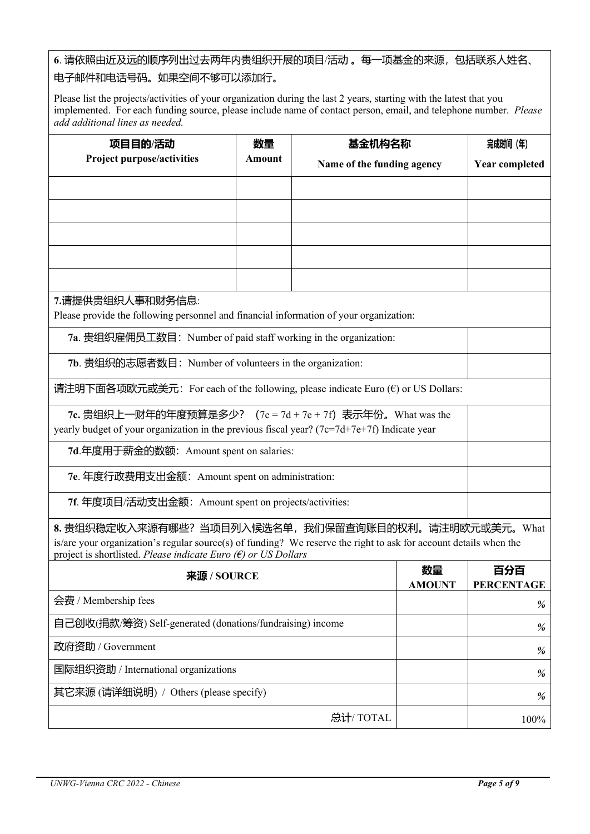**6**. 请依照由近及远的顺序列出过去两年内贵组织开展的项目/活动 。每一项基金的来源,包括联系人姓名、

## 电子邮件和电话号码。如果空间不够可以添加行。

Please list the projects/activities of your organization during the last 2 years, starting with the latest that you implemented. For each funding source, please include name of contact person, email, and telephone number. *Please add additional lines as needed.*

| <b>Project purpose/activities</b><br>Amount<br>Name of the funding agency<br><b>Year completed</b><br>7.请提供贵组织人事和财务信息:<br>Please provide the following personnel and financial information of your organization:<br>7a. 贵组织雇佣员工数目: Number of paid staff working in the organization:<br>7b. 贵组织的志愿者数目: Number of volunteers in the organization:<br>请注明下面各项欧元或美元: For each of the following, please indicate Euro ( $\epsilon$ ) or US Dollars:<br>7c. 贵组织上一财年的年度预算是多少? (7c = 7d + 7e + 7f) 表示年份。What was the<br>yearly budget of your organization in the previous fiscal year? $(7c=7d+7e+7f)$ Indicate year<br>7d.年度用于薪金的数额: Amount spent on salaries:<br>7e. 年度行政费用支出金额: Amount spent on administration:<br>7f. 年度项目/活动支出金额: Amount spent on projects/activities:<br>8. 贵组织稳定收入来源有哪些?当项目列入候选名单,我们保留查询账目的权利。请注明欧元或美元。What<br>is/are your organization's regular source(s) of funding? We reserve the right to ask for account details when the<br>project is shortlisted. Please indicate Euro $(\epsilon)$ or US Dollars<br>百分百<br>数量<br>来源 / SOURCE | 项目目的/活动 | 数量 | 基金机构名称 |                   | 完成时间 (年) |
|----------------------------------------------------------------------------------------------------------------------------------------------------------------------------------------------------------------------------------------------------------------------------------------------------------------------------------------------------------------------------------------------------------------------------------------------------------------------------------------------------------------------------------------------------------------------------------------------------------------------------------------------------------------------------------------------------------------------------------------------------------------------------------------------------------------------------------------------------------------------------------------------------------------------------------------------------------------------------------------------------------------------------------------------------------|---------|----|--------|-------------------|----------|
|                                                                                                                                                                                                                                                                                                                                                                                                                                                                                                                                                                                                                                                                                                                                                                                                                                                                                                                                                                                                                                                          |         |    |        |                   |          |
|                                                                                                                                                                                                                                                                                                                                                                                                                                                                                                                                                                                                                                                                                                                                                                                                                                                                                                                                                                                                                                                          |         |    |        |                   |          |
|                                                                                                                                                                                                                                                                                                                                                                                                                                                                                                                                                                                                                                                                                                                                                                                                                                                                                                                                                                                                                                                          |         |    |        |                   |          |
|                                                                                                                                                                                                                                                                                                                                                                                                                                                                                                                                                                                                                                                                                                                                                                                                                                                                                                                                                                                                                                                          |         |    |        |                   |          |
|                                                                                                                                                                                                                                                                                                                                                                                                                                                                                                                                                                                                                                                                                                                                                                                                                                                                                                                                                                                                                                                          |         |    |        |                   |          |
|                                                                                                                                                                                                                                                                                                                                                                                                                                                                                                                                                                                                                                                                                                                                                                                                                                                                                                                                                                                                                                                          |         |    |        |                   |          |
|                                                                                                                                                                                                                                                                                                                                                                                                                                                                                                                                                                                                                                                                                                                                                                                                                                                                                                                                                                                                                                                          |         |    |        |                   |          |
|                                                                                                                                                                                                                                                                                                                                                                                                                                                                                                                                                                                                                                                                                                                                                                                                                                                                                                                                                                                                                                                          |         |    |        |                   |          |
|                                                                                                                                                                                                                                                                                                                                                                                                                                                                                                                                                                                                                                                                                                                                                                                                                                                                                                                                                                                                                                                          |         |    |        |                   |          |
|                                                                                                                                                                                                                                                                                                                                                                                                                                                                                                                                                                                                                                                                                                                                                                                                                                                                                                                                                                                                                                                          |         |    |        |                   |          |
|                                                                                                                                                                                                                                                                                                                                                                                                                                                                                                                                                                                                                                                                                                                                                                                                                                                                                                                                                                                                                                                          |         |    |        |                   |          |
|                                                                                                                                                                                                                                                                                                                                                                                                                                                                                                                                                                                                                                                                                                                                                                                                                                                                                                                                                                                                                                                          |         |    |        |                   |          |
|                                                                                                                                                                                                                                                                                                                                                                                                                                                                                                                                                                                                                                                                                                                                                                                                                                                                                                                                                                                                                                                          |         |    |        |                   |          |
|                                                                                                                                                                                                                                                                                                                                                                                                                                                                                                                                                                                                                                                                                                                                                                                                                                                                                                                                                                                                                                                          |         |    |        |                   |          |
|                                                                                                                                                                                                                                                                                                                                                                                                                                                                                                                                                                                                                                                                                                                                                                                                                                                                                                                                                                                                                                                          |         |    |        |                   |          |
|                                                                                                                                                                                                                                                                                                                                                                                                                                                                                                                                                                                                                                                                                                                                                                                                                                                                                                                                                                                                                                                          |         |    |        |                   |          |
|                                                                                                                                                                                                                                                                                                                                                                                                                                                                                                                                                                                                                                                                                                                                                                                                                                                                                                                                                                                                                                                          |         |    |        |                   |          |
|                                                                                                                                                                                                                                                                                                                                                                                                                                                                                                                                                                                                                                                                                                                                                                                                                                                                                                                                                                                                                                                          |         |    |        |                   |          |
| <b>AMOUNT</b>                                                                                                                                                                                                                                                                                                                                                                                                                                                                                                                                                                                                                                                                                                                                                                                                                                                                                                                                                                                                                                            |         |    |        | <b>PERCENTAGE</b> |          |

|                                                           | <b>AMOUNT</b> | <b>PERCENTAGE</b> |
|-----------------------------------------------------------|---------------|-------------------|
| 会费 / Membership fees                                      |               | %                 |
| 自己创收(捐款/筹资) Self-generated (donations/fundraising) income |               | %                 |
| 政府资助 / Government                                         |               | %                 |
| 国际组织资助 / International organizations                      |               | %                 |
| 其它来源 (请详细说明) / Others (please specify)                    |               | %                 |
| 总计/TOTAL                                                  |               | $100\%$           |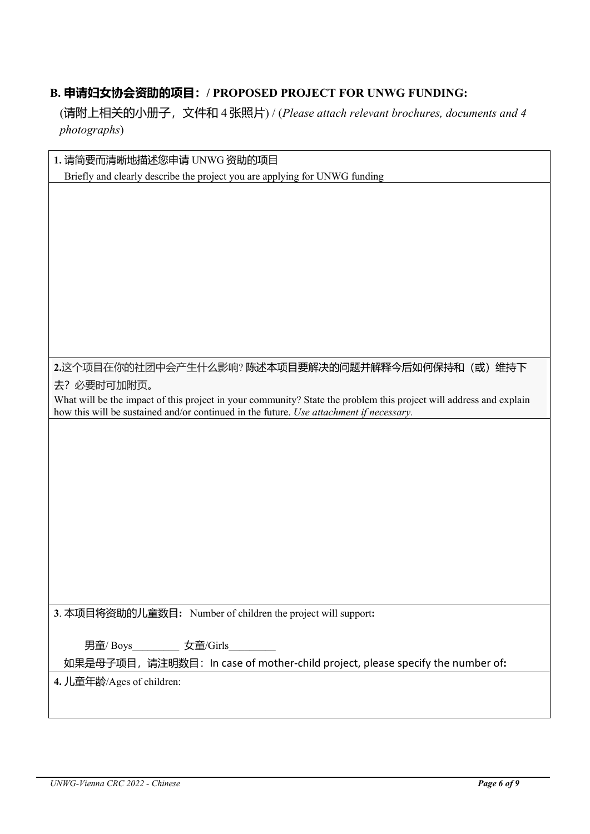## **B. 申请妇女协会资助的项目:/ PROPOSED PROJECT FOR UNWG FUNDING:**

(请附上相关的小册子,文件和 4 张照片) / (*Please attach relevant brochures, documents and 4 photographs*)

| 1. 请简要而清晰地描述您申请 UNWG 资助的项目                                                                                         |
|--------------------------------------------------------------------------------------------------------------------|
| Briefly and clearly describe the project you are applying for UNWG funding                                         |
|                                                                                                                    |
|                                                                                                                    |
|                                                                                                                    |
|                                                                                                                    |
|                                                                                                                    |
|                                                                                                                    |
|                                                                                                                    |
|                                                                                                                    |
|                                                                                                                    |
| 2.这个项目在你的社团中会产生什么影响? 陈述本项目要解决的问题并解释今后如何保持和(或)维持下                                                                   |
| 去?必要时可加附页。                                                                                                         |
| What will be the impact of this project in your community? State the problem this project will address and explain |
| how this will be sustained and/or continued in the future. Use attachment if necessary.                            |
|                                                                                                                    |
|                                                                                                                    |
|                                                                                                                    |
|                                                                                                                    |
|                                                                                                                    |
|                                                                                                                    |
|                                                                                                                    |
|                                                                                                                    |
|                                                                                                                    |
|                                                                                                                    |
| 3. 本项目将资助的儿童数目: Number of children the project will support:                                                       |
|                                                                                                                    |
| 男童/Boys____________ 女童/Girls                                                                                       |
| 如果是母子项目, 请注明数目: In case of mother-child project, please specify the number of:                                     |
| 4. 儿童年龄/Ages of children:                                                                                          |
|                                                                                                                    |
|                                                                                                                    |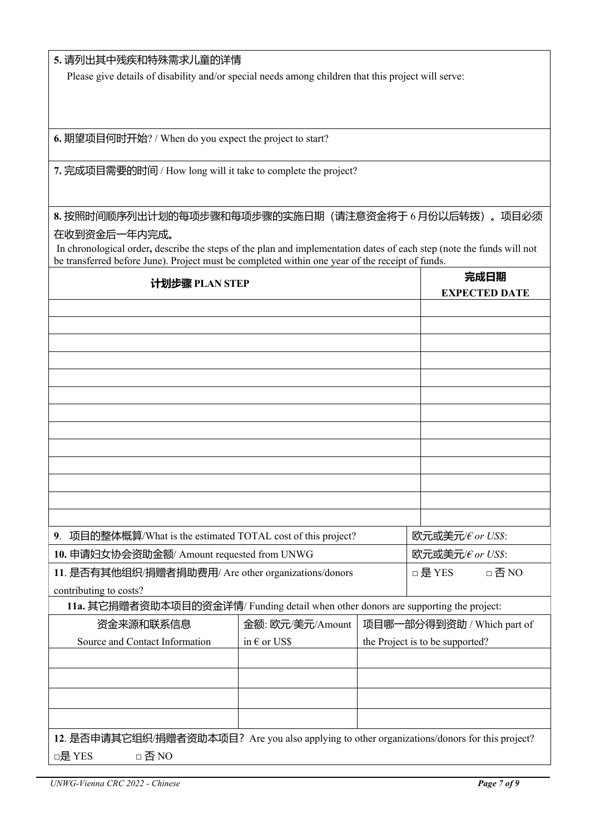#### **5.** 请列出其中残疾和特殊需求儿童的详情

Please give details of disability and/or special needs among children that this project will serve:

**6.** 期望项目何时开始? / When do you expect the project to start?

**7.** 完成项目需要的时间 / How long will it take to complete the project?

## **8.** 按照时间顺序列出计划的每项步骤和每项步骤的实施日期(请注意资金将于 6 月份以后转拨)。项目必须

### 在收到资金后一年内完成。

 In chronological order**,** describe the steps of the plan and implementation dates of each step (note the funds will not be transferred before June). Project must be completed within one year of the receipt of funds.

| 计划步骤 PLAN STEP                                                                               |                       |                                 | 完成日期<br><b>EXPECTED DATE</b> |
|----------------------------------------------------------------------------------------------|-----------------------|---------------------------------|------------------------------|
|                                                                                              |                       |                                 |                              |
|                                                                                              |                       |                                 |                              |
|                                                                                              |                       |                                 |                              |
|                                                                                              |                       |                                 |                              |
|                                                                                              |                       |                                 |                              |
|                                                                                              |                       |                                 |                              |
|                                                                                              |                       |                                 |                              |
|                                                                                              |                       |                                 |                              |
|                                                                                              |                       |                                 |                              |
|                                                                                              |                       |                                 |                              |
|                                                                                              |                       |                                 |                              |
|                                                                                              |                       |                                 |                              |
|                                                                                              |                       |                                 |                              |
| 9. 项目的整体概算/What is the estimated TOTAL cost of this project?                                 |                       |                                 | 欧元或美元/€ or US\$:             |
| 10. 申请妇女协会资助金额/ Amount requested from UNWG                                                   |                       |                                 | 欧元或美元/€ or US\$:             |
| 11. 是否有其他组织/捐赠者捐助费用/ Are other organizations/donors                                          |                       |                                 | □ 是 YES<br>□否NO              |
| contributing to costs?                                                                       |                       |                                 |                              |
| 11a. 其它捐赠者资助本项目的资金详情/ Funding detail when other donors are supporting the project:           |                       |                                 |                              |
| 资金来源和联系信息                                                                                    | 金额: 欧元/美元/Amount      | 项目哪一部分得到资助 / Which part of      |                              |
| Source and Contact Information                                                               | in $\epsilon$ or US\$ | the Project is to be supported? |                              |
|                                                                                              |                       |                                 |                              |
|                                                                                              |                       |                                 |                              |
|                                                                                              |                       |                                 |                              |
|                                                                                              |                       |                                 |                              |
|                                                                                              |                       |                                 |                              |
| 12. 是否申请其它组织/捐赠者资助本项目? Are you also applying to other organizations/donors for this project? |                       |                                 |                              |
| □是 YES<br>□否NO                                                                               |                       |                                 |                              |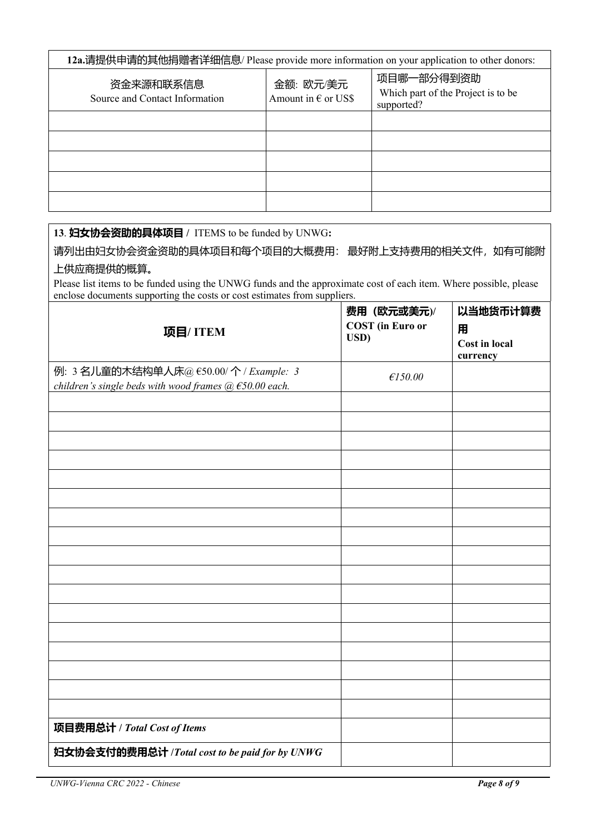| 12a.请提供申请的其他捐赠者详细信息/ Please provide more information on your application to other donors: |                                           |                                                                |  |
|-------------------------------------------------------------------------------------------|-------------------------------------------|----------------------------------------------------------------|--|
| 资金来源和联系信息<br>Source and Contact Information                                               | 金额: 欧元/美元<br>Amount in $\epsilon$ or US\$ | 项目哪一部分得到资助<br>Which part of the Project is to be<br>supported? |  |
|                                                                                           |                                           |                                                                |  |
|                                                                                           |                                           |                                                                |  |
|                                                                                           |                                           |                                                                |  |
|                                                                                           |                                           |                                                                |  |
|                                                                                           |                                           |                                                                |  |

#### **13**. **妇女协会资助的具体项目 /** ITEMS to be funded by UNWG**:**

请列出由妇女协会资金资助的具体项目和每个项目的大概费用: 最好附上支持费用的相关文件,如有可能附 上供应商提供的概算。

Please list items to be funded using the UNWG funds and the approximate cost of each item. Where possible, please enclose documents supporting the costs or cost estimates from suppliers.

| 项目/ITEM                                                                                                 | 费用 (欧元或美元)/<br><b>COST</b> (in Euro or<br>USD) | 以当地货币计算费<br>用<br><b>Cost in local</b><br>currency |
|---------------------------------------------------------------------------------------------------------|------------------------------------------------|---------------------------------------------------|
| 例: 3 名儿童的木结构单人床@ €50.00/个 / Example: 3<br>children's single beds with wood frames $(a)$ $E$ 50.00 each. | £150.00                                        |                                                   |
|                                                                                                         |                                                |                                                   |
|                                                                                                         |                                                |                                                   |
|                                                                                                         |                                                |                                                   |
|                                                                                                         |                                                |                                                   |
|                                                                                                         |                                                |                                                   |
|                                                                                                         |                                                |                                                   |
|                                                                                                         |                                                |                                                   |
|                                                                                                         |                                                |                                                   |
|                                                                                                         |                                                |                                                   |
|                                                                                                         |                                                |                                                   |
|                                                                                                         |                                                |                                                   |
|                                                                                                         |                                                |                                                   |
| 项目费用总计 / Total Cost of Items                                                                            |                                                |                                                   |
| 妇女协会支付的费用总计 / Total cost to be paid for by UNWG                                                         |                                                |                                                   |